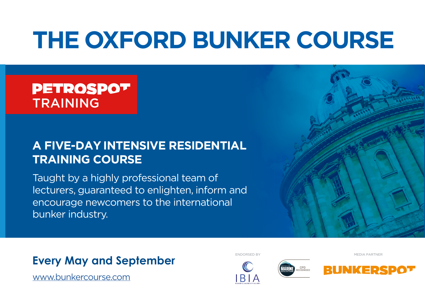# **[THE OXFORD BUNKER COURSE](www.petrospot.com/oxford?ce=[email]&cfn=[firstname]&cln=[lastname])**

# **PETROSPOT** TRAINING

## **A FIVE-DAY INTENSIVE RESIDENTIAL TRAINING COURSE**

Taught by a highly professional team of lecturers, guaranteed to enlighten, inform and encourage newcomers to the international bunker industry.



### **Every May and September**

[www.](https://www.petrospot.com/events/obc-september)[bunkercourse.com](https://www.petrospot.com/events/obc-march)

ENDORSED BY MEDIA PARTNER





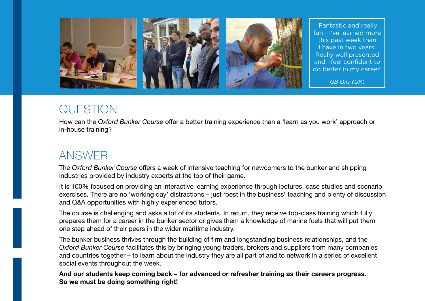

'Fantastic and really fun - I've learned more this past week than I have in two years! Really well presented and I feel confident to do better in my career'

*GB Oils (UK)*

### QUESTION

How can the *Oxford Bunker Course* offer a better training experience than a 'learn as you work' approach or in-house training?

## ANSWER

The *Oxford Bunker Course* offers a week of intensive teaching for newcomers to the bunker and shipping industries provided by industry experts at the top of their game.

It is 100% focused on providing an interactive learning experience through lectures, case studies and scenario exercises. There are no 'working day' distractions – just 'best in the business' teaching and plenty of discussion and Q&A opportunities with highly experienced tutors.

The course is challenging and asks a lot of its students. In return, they receive top-class training which fully prepares them for a career in the bunker sector or gives them a knowledge of marine fuels that will put them one step ahead of their peers in the wider maritime industry.

The bunker business thrives through the building of firm and longstanding business relationships, and the *Oxford Bunker Course* facilitates this by bringing young traders, brokers and suppliers from many companies and countries together – to learn about the industry they are all part of and to network in a series of excellent social events throughout the week.

And our students keep coming back – for advanced or refresher training as their careers progress. So we must be doing something right!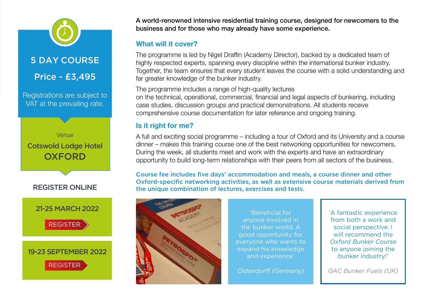5 DAY COURSE

Price - £3,495

Registrations are subject to VAT at the prevailing rate.





21-25 MARCH 2022

[REGISTER](https://www.petrospot.com/events/obc-march/register)

### 19-23 SEPTEMBER 2022

[REGISTER](https://www.petrospot.com/events/obc-sept/register)

A world-renowned intensive residential training course, designed for newcomers to the business and for those who may already have some experience.

### What will it cover?

The programme is led by Nigel Draffin (Academy Director), backed by a dedicated team of highly respected experts, spanning every discipline within the international bunker industry. Together, the team ensures that every student leaves the course with a solid understanding and far greater knowledge of the bunker industry.

The programme includes a range of high-quality lectures on the technical, operational, commercial, financial and legal aspects of bunkering, including case studies, discussion groups and practical demonstrations. All students receive comprehensive course documentation for later reference and ongoing training.

### Is it right for me?

A full and exciting social programme – including a tour of Oxford and its University and a course dinner – makes this training course one of the best networking opportunities for newcomers. During the week, all students meet and work with the experts and have an extraordinary opportunity to build long-term relationships with their peers from all sectors of the business.

Course fee includes five days' accommodation and meals, a course dinner and other Oxford-specific networking activities, as well as extensive course materials derived from the unique combination of lectures, exercises and tests.



'Beneficial for anyone involved in the bunker world. A good opportunity for everyone who wants to expand his knowledge and experience'

*Oldendorff (Germany)*

'A fantastic experience from both a work and social perspective. I will recommend the *Oxford Bunker Course* to anyone joining the bunker industry!'

*GAC Bunker Fuels (UK)*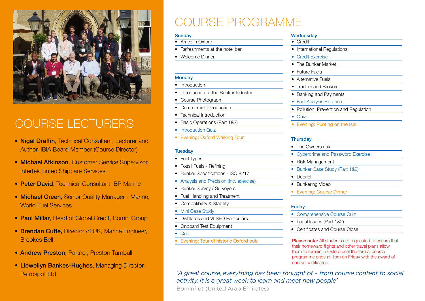

# COURSE LECTURERS

- Nigel Draffin, Technical Consultant, Lecturer and Author, IBIA Board Member (Course Director)
- Michael Atkinson, Customer Service Supervisor, Intertek Lintec Shipcare Services
- Peter David, Technical Consultant, BP Marine
- Michael Green, Senior Quality Manager Marine, World Fuel Services
- Paul Millar, Head of Global Credit, Bomin Group
- Brendan Cuffe, Director of UK, Marine Engineer, Brookes Bell
- Andrew Preston, Partner, Preston Turnbull
- Llewellyn Bankes-Hughes, Managing Director, Petrospot Ltd

# COURSE PROGRAMME

#### **Sunday**

- Arrive in Oxford
- Refreshments at the hotel bar
- Welcome Dinner

#### **Monday**

- Introduction
- Introduction to the Bunker Industry
- Course Photograph
- Commercial Introduction
- Technical Introduction
- Basic Operations (Part 1&2)
- **Introduction Quiz**
- Evening: Oxford Walking Tour

#### **Tuesday**

- Fuel Types
- Fossil Fuels Refining
- Bunker Specifications ISO 8217
- Analysis and Precision (inc. exercise)
- Bunker Survey / Surveyors
- Fuel Handling and Treatment
- Compatibility & Stability
- Mini Case Study
- Distillates and VLSEO Particulars
- Onboard Test Equipment
- Quiz
- Evening: Tour of historic Oxford pub

#### **Wednesday** • Credit

- International Regulations
- Credit Exercise
- The Bunker Market
- Future Fuels
- Alternative Fuels
- Traders and Brokers
- Banking and Payments
- Fuel Analysis Exercise
- Pollution, Prevention and Regulation
- Quiz
- Evening: Punting on the Isis

#### **Thursday**

- The Owners risk
- Cybercrime and Password Exercise
- Risk Management
- Bunker Case Study (Part 1&2)
- Debrief
- Bunkering Video
- Evening: Course Dinner

#### **Friday**

- Comprehensive Course Quiz
- Legal Issues (Part 1&2)
- Certificates and Course Close

Please note: All students are requested to ensure that their homeward flights and other travel plans allow them to remain in Oxford until the formal course programme ends at 1pm on Friday with the award of course certificates.

*'A great course, everything has been thought of – from course content to social activity. It is a great week to learn and meet new people'*

Bominflot (United Arab Emirates)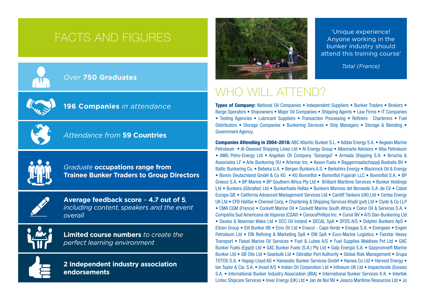# FACTS AND FIGURES



### *Over* **750 Graduates**



### **196 Companies** *in attendance*



### *Attendance from* **59 Countries**



*Graduate* **occupations range from Trainee Bunker Traders to Group Directors**



**Average feedback score** *–* **4.7 out of 5***, including content, speakers and the event overall*



**Limited course numbers** *to create the perfect learning environment*

**2 Independent industry association endorsements**



'Unique experience! Anyone working in the bunker industry should attend this training course'

*Total (France)*

### WHO WILL ATTEND?

Types of Company: National Oil Companies • Independent Suppliers • Bunker Traders • Brokers • Barge Operators • Shipowners • Major Oil Companies • Shipping Agents • Law Firms • IT Companies • Testing Agencies • Lubricant Suppliers • Transaction Processing • Refiners · Charterers • Fuel Distributors • Storage Companies • Bunkering Services • Ship Managers • Storage & Blending • Government Agency.

Companies Attending in 2004-2018: ABC Atlantic Bunker S.L. • Addax Energy S.A. • Aegean Marine Petroleum • Al-Dawood Shipping Lines Ltd • AI Energy Group • Albemarle Advisors • Alba Petroleum • AMG Petro-Energy Ltd • Angolian Oil Company 'Sonangol' • Armada Shipping S.A. • Arrocha & Associates LF • Arte Bunkering OU • Artemar Inc. • Axxon Fuels • Baggermaatschappij Boskalis BV • Baltic Bunkering Co. • Bebeka U.A. • Bergen Bunkers A.S. • Berkshire Energy • Blackrock Oil & Energy • Bomin Deutschland GmbH & Co KG • KG Bominflot • Bominflot Fujairah LLC • Bominflot S.A. • BP Greece S.A. • BP Marine • BP Southern Africa Pty Ltd • Brilliant Maritime Services • Bunker Holdings Ltd • Bunkers (Gibraltar) Ltd • Bunkerfuels Hellas • Bunkers Marinos del Noroeste S.A. de CV • Cabot Europa GIE • California Advanced Management Services Ltd • Cardiff Tankers (UK) Ltd • Certas Energy UK Ltd • CFB Halifax • Chemoil Corp. • Chartering & Shipping Services Khalil (pvt) Ltd • Clyde & Co LLP • CMA CGM (France) • Cockett Marine Oil • Cockett Marine South Africa • Colon Oil & Services S.A. • Compañia Sud Americana de Vapores (CSAV) • ConocoPhillips Inc. • Curoil NV • A/S Dan-Bunkering Ltd • Davies & Newman Wake Ltd • DCC Oil Ireland • DECAL SpA • DFDS A/S • Dolphin Bunkers ApS • Eitzen Group • Elit Bunker AB • Emo Oil Ltd • Enacol - Cape Verde • Enagas S.A. • Energean • Engen Petroleum Ltd • ENI Refining & Marketing SpA • ENI SpA • Euro-Marine Logistics • Fairstar Heavy Transport • Faisal Marine Oil Services • Fuel & Lubes A/S • Fuel Supplies Maldives Pvt Ltd • GAC Bunker Fuels (Egypt) Ltd • GAC Bunker Fuels (S.A.) Pty Ltd • Galp Energia S.A. • Gazpromneft Marine Bunker Ltd • GB Oils Ltd • Gearbulk Ltd • Gibraltar Port Authority • Global Risk Management • Grupa TOTOS S.A. • Hapag-Lloyd AG • Hanseatic Bunker Services GmbH • Hanwa Co Ltd • Harvest Energy • Ian Taylor & Cia. S.A. • Imset A/S • Indian Oil Corporation Ltd • Infineum UK Ltd • Inspectorate (Suisse) S.A. • International Bunker Industry Association (IBIA) • International Bunker Services K.K. • Intertek Lintec Shipcare Services • Inver Energy (UK) Ltd • Jan de Nul NV • Jessco Maritime Resources Ltd • Jo